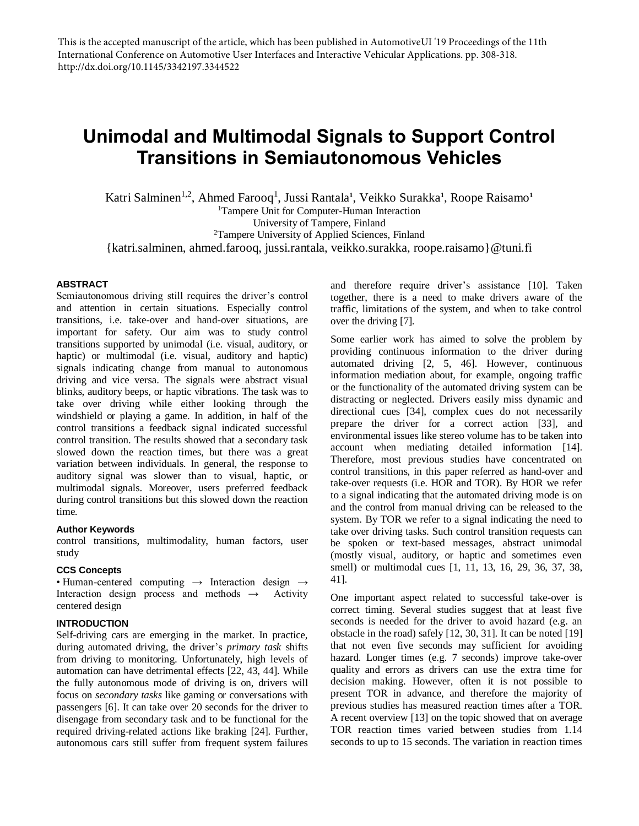This is the accepted manuscript of the article, which has been published in AutomotiveUI '19 Proceedings of the 11th International Conference on Automotive User Interfaces and Interactive Vehicular Applications. pp. 308-318. http://dx.doi.org/10.1145/3342197.3344522

# **Unimodal and Multimodal Signals to Support Control Transitions in Semiautonomous Vehicles**

Katri Salminen<sup>1,2</sup>, Ahmed Farooq<sup>1</sup>, Jussi Rantala<sup>1</sup>, Veikko Surakka<sup>1</sup>, Roope Raisamo<sup>1</sup> <sup>1</sup>Tampere Unit for Computer-Human Interaction

University of Tampere, Finland

<sup>2</sup>Tampere University of Applied Sciences, Finland

{katri.salminen, ahmed.farooq, jussi.rantala, veikko.surakka, roope.raisamo}@tuni.fi

## **ABSTRACT**

Semiautonomous driving still requires the driver's control and attention in certain situations. Especially control transitions, i.e. take-over and hand-over situations, are important for safety. Our aim was to study control transitions supported by unimodal (i.e. visual, auditory, or haptic) or multimodal (i.e. visual, auditory and haptic) signals indicating change from manual to autonomous driving and vice versa. The signals were abstract visual blinks, auditory beeps, or haptic vibrations. The task was to take over driving while either looking through the windshield or playing a game. In addition, in half of the control transitions a feedback signal indicated successful control transition. The results showed that a secondary task slowed down the reaction times, but there was a great variation between individuals. In general, the response to auditory signal was slower than to visual, haptic, or multimodal signals. Moreover, users preferred feedback during control transitions but this slowed down the reaction time.

## **Author Keywords**

control transitions, multimodality, human factors, user study

## **CCS Concepts**

• Human-centered computing  $\rightarrow$  Interaction design  $\rightarrow$ Interaction design process and methods  $\rightarrow$  Activity centered design

# **INTRODUCTION**

Self-driving cars are emerging in the market. In practice, during automated driving, the driver's *primary task* shifts from driving to monitoring. Unfortunately, high levels of automation can have detrimental effects [22, 43, 44]. While the fully autonomous mode of driving is on, drivers will focus on *secondary tasks* like gaming or conversations with passengers [6]. It can take over 20 seconds for the driver to disengage from secondary task and to be functional for the required driving-related actions like braking [24]. Further, autonomous cars still suffer from frequent system failures and therefore require driver's assistance [10]. Taken together, there is a need to make drivers aware of the traffic, limitations of the system, and when to take control over the driving [7].

Some earlier work has aimed to solve the problem by providing continuous information to the driver during automated driving [2, 5, 46]. However, continuous information mediation about, for example, ongoing traffic or the functionality of the automated driving system can be distracting or neglected. Drivers easily miss dynamic and directional cues [34], complex cues do not necessarily prepare the driver for a correct action [33], and environmental issues like stereo volume has to be taken into account when mediating detailed information [14]. Therefore, most previous studies have concentrated on control transitions, in this paper referred as hand-over and take-over requests (i.e. HOR and TOR). By HOR we refer to a signal indicating that the automated driving mode is on and the control from manual driving can be released to the system. By TOR we refer to a signal indicating the need to take over driving tasks. Such control transition requests can be spoken or text-based messages, abstract unimodal (mostly visual, auditory, or haptic and sometimes even smell) or multimodal cues [1, 11, 13, 16, 29, 36, 37, 38, 41].

One important aspect related to successful take-over is correct timing. Several studies suggest that at least five seconds is needed for the driver to avoid hazard (e.g. an obstacle in the road) safely [12, 30, 31]. It can be noted [19] that not even five seconds may sufficient for avoiding hazard. Longer times (e.g. 7 seconds) improve take-over quality and errors as drivers can use the extra time for decision making. However, often it is not possible to present TOR in advance, and therefore the majority of previous studies has measured reaction times after a TOR. A recent overview [13] on the topic showed that on average TOR reaction times varied between studies from 1.14 seconds to up to 15 seconds. The variation in reaction times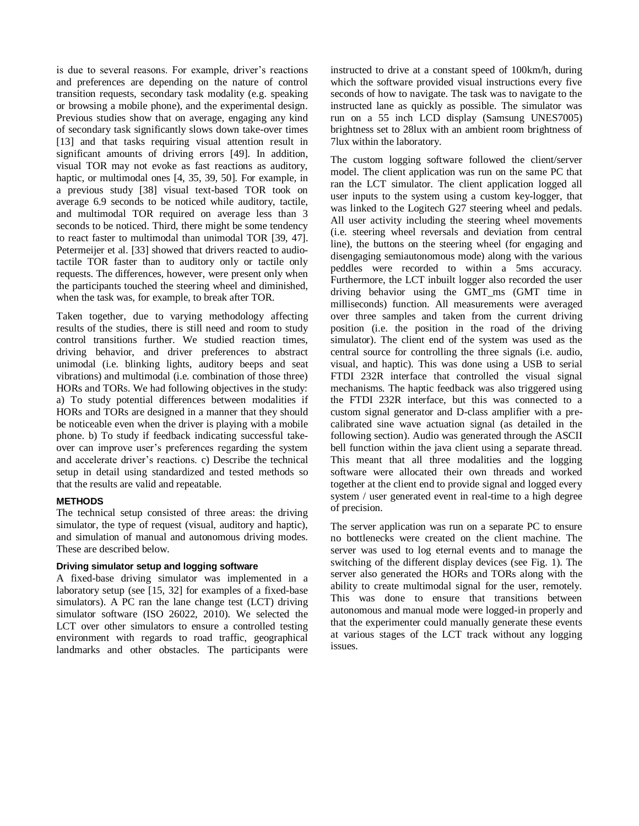is due to several reasons. For example, driver's reactions and preferences are depending on the nature of control transition requests, secondary task modality (e.g. speaking or browsing a mobile phone), and the experimental design. Previous studies show that on average, engaging any kind of secondary task significantly slows down take-over times [13] and that tasks requiring visual attention result in significant amounts of driving errors [49]. In addition, visual TOR may not evoke as fast reactions as auditory, haptic, or multimodal ones [4, 35, 39, 50]. For example, in a previous study [38] visual text-based TOR took on average 6.9 seconds to be noticed while auditory, tactile, and multimodal TOR required on average less than 3 seconds to be noticed. Third, there might be some tendency to react faster to multimodal than unimodal TOR [39, 47]. Petermeijer et al. [33] showed that drivers reacted to audiotactile TOR faster than to auditory only or tactile only requests. The differences, however, were present only when the participants touched the steering wheel and diminished, when the task was, for example, to break after TOR.

Taken together, due to varying methodology affecting results of the studies, there is still need and room to study control transitions further. We studied reaction times, driving behavior, and driver preferences to abstract unimodal (i.e. blinking lights, auditory beeps and seat vibrations) and multimodal (i.e. combination of those three) HORs and TORs. We had following objectives in the study: a) To study potential differences between modalities if HORs and TORs are designed in a manner that they should be noticeable even when the driver is playing with a mobile phone. b) To study if feedback indicating successful takeover can improve user's preferences regarding the system and accelerate driver's reactions. c) Describe the technical setup in detail using standardized and tested methods so that the results are valid and repeatable.

## **METHODS**

The technical setup consisted of three areas: the driving simulator, the type of request (visual, auditory and haptic), and simulation of manual and autonomous driving modes. These are described below.

# **Driving simulator setup and logging software**

A fixed-base driving simulator was implemented in a laboratory setup (see [15, 32] for examples of a fixed-base simulators). A PC ran the lane change test (LCT) driving simulator software (ISO 26022, 2010). We selected the LCT over other simulators to ensure a controlled testing environment with regards to road traffic, geographical landmarks and other obstacles. The participants were instructed to drive at a constant speed of 100km/h, during which the software provided visual instructions every five seconds of how to navigate. The task was to navigate to the instructed lane as quickly as possible. The simulator was run on a 55 inch LCD display (Samsung UNES7005) brightness set to 28lux with an ambient room brightness of 7lux within the laboratory.

The custom logging software followed the client/server model. The client application was run on the same PC that ran the LCT simulator. The client application logged all user inputs to the system using a custom key-logger, that was linked to the Logitech G27 steering wheel and pedals. All user activity including the steering wheel movements (i.e. steering wheel reversals and deviation from central line), the buttons on the steering wheel (for engaging and disengaging semiautonomous mode) along with the various peddles were recorded to within a 5ms accuracy. Furthermore, the LCT inbuilt logger also recorded the user driving behavior using the GMT\_ms (GMT time in milliseconds) function. All measurements were averaged over three samples and taken from the current driving position (i.e. the position in the road of the driving simulator). The client end of the system was used as the central source for controlling the three signals (i.e. audio, visual, and haptic). This was done using a USB to serial FTDI 232R interface that controlled the visual signal mechanisms. The haptic feedback was also triggered using the FTDI 232R interface, but this was connected to a custom signal generator and D-class amplifier with a precalibrated sine wave actuation signal (as detailed in the following section). Audio was generated through the ASCII bell function within the java client using a separate thread. This meant that all three modalities and the logging software were allocated their own threads and worked together at the client end to provide signal and logged every system / user generated event in real-time to a high degree of precision.

The server application was run on a separate PC to ensure no bottlenecks were created on the client machine. The server was used to log eternal events and to manage the switching of the different display devices (see Fig. 1). The server also generated the HORs and TORs along with the ability to create multimodal signal for the user, remotely. This was done to ensure that transitions between autonomous and manual mode were logged-in properly and that the experimenter could manually generate these events at various stages of the LCT track without any logging issues.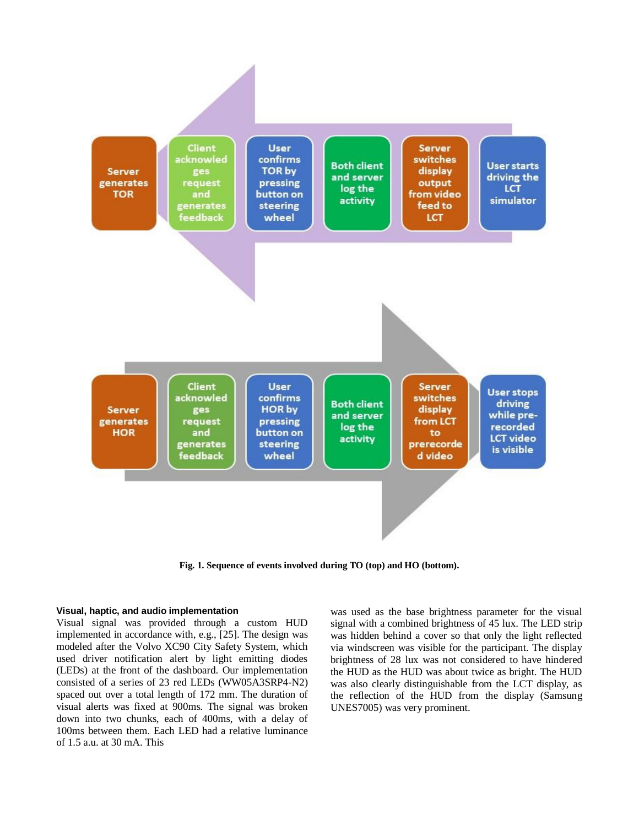

**Fig. 1. Sequence of events involved during TO (top) and HO (bottom).**

#### **Visual, haptic, and audio implementation**

Visual signal was provided through a custom HUD implemented in accordance with, e.g., [25]. The design was modeled after the Volvo XC90 City Safety System, which used driver notification alert by light emitting diodes (LEDs) at the front of the dashboard. Our implementation consisted of a series of 23 red LEDs (WW05A3SRP4-N2) spaced out over a total length of 172 mm. The duration of visual alerts was fixed at 900ms. The signal was broken down into two chunks, each of 400ms, with a delay of 100ms between them. Each LED had a relative luminance of 1.5 a.u. at 30 mA. This

was used as the base brightness parameter for the visual signal with a combined brightness of 45 lux. The LED strip was hidden behind a cover so that only the light reflected via windscreen was visible for the participant. The display brightness of 28 lux was not considered to have hindered the HUD as the HUD was about twice as bright. The HUD was also clearly distinguishable from the LCT display, as the reflection of the HUD from the display (Samsung UNES7005) was very prominent.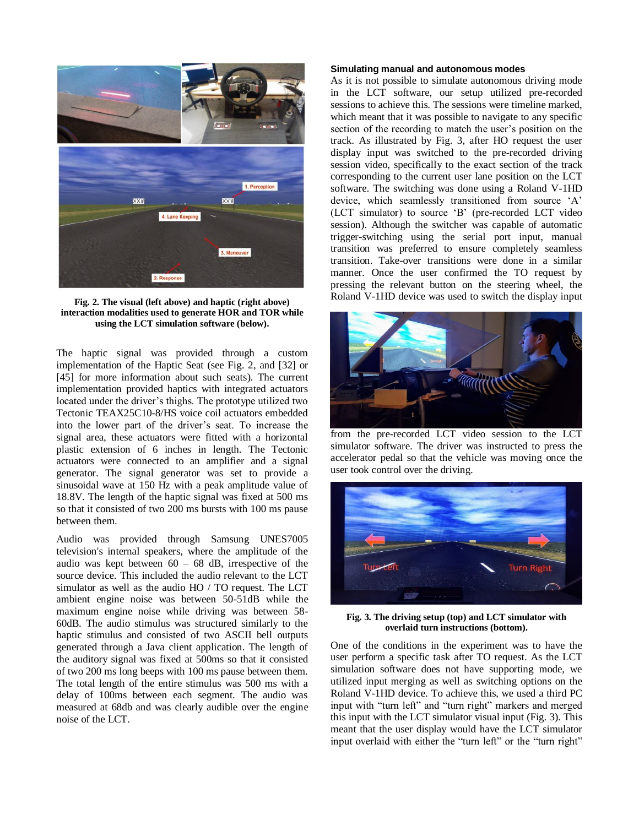

**Fig. 2. The visual (left above) and haptic (right above) interaction modalities used to generate HOR and TOR while using the LCT simulation software (below).**

The haptic signal was provided through a custom implementation of the Haptic Seat (see Fig. 2, and [32] or [45] for more information about such seats). The current implementation provided haptics with integrated actuators located under the driver's thighs. The prototype utilized two Tectonic TEAX25C10-8/HS voice coil actuators embedded into the lower part of the driver's seat. To increase the signal area, these actuators were fitted with a horizontal plastic extension of 6 inches in length. The Tectonic actuators were connected to an amplifier and a signal generator. The signal generator was set to provide a sinusoidal wave at 150 Hz with a peak amplitude value of 18.8V. The length of the haptic signal was fixed at 500 ms so that it consisted of two 200 ms bursts with 100 ms pause between them.

Audio was provided through Samsung UNES7005 television's internal speakers, where the amplitude of the audio was kept between  $60 - 68$  dB, irrespective of the source device. This included the audio relevant to the LCT simulator as well as the audio HO / TO request. The LCT ambient engine noise was between 50-51dB while the maximum engine noise while driving was between 58- 60dB. The audio stimulus was structured similarly to the haptic stimulus and consisted of two ASCII bell outputs generated through a Java client application. The length of the auditory signal was fixed at 500ms so that it consisted of two 200 ms long beeps with 100 ms pause between them. The total length of the entire stimulus was 500 ms with a delay of 100ms between each segment. The audio was measured at 68db and was clearly audible over the engine noise of the LCT.

## **Simulating manual and autonomous modes**

As it is not possible to simulate autonomous driving mode in the LCT software, our setup utilized pre-recorded sessions to achieve this. The sessions were timeline marked, which meant that it was possible to navigate to any specific section of the recording to match the user's position on the track. As illustrated by Fig. 3, after HO request the user display input was switched to the pre-recorded driving session video, specifically to the exact section of the track corresponding to the current user lane position on the LCT software. The switching was done using a Roland V-1HD device, which seamlessly transitioned from source 'A' (LCT simulator) to source 'B' (pre-recorded LCT video session). Although the switcher was capable of automatic trigger-switching using the serial port input, manual transition was preferred to ensure completely seamless transition. Take-over transitions were done in a similar manner. Once the user confirmed the TO request by pressing the relevant button on the steering wheel, the Roland V-1HD device was used to switch the display input



from the pre-recorded LCT video session to the LCT simulator software. The driver was instructed to press the accelerator pedal so that the vehicle was moving once the user took control over the driving.



**Fig. 3. The driving setup (top) and LCT simulator with overlaid turn instructions (bottom).**

One of the conditions in the experiment was to have the user perform a specific task after TO request. As the LCT simulation software does not have supporting mode, we utilized input merging as well as switching options on the Roland V-1HD device. To achieve this, we used a third PC input with "turn left" and "turn right" markers and merged this input with the LCT simulator visual input (Fig. 3). This meant that the user display would have the LCT simulator input overlaid with either the "turn left" or the "turn right"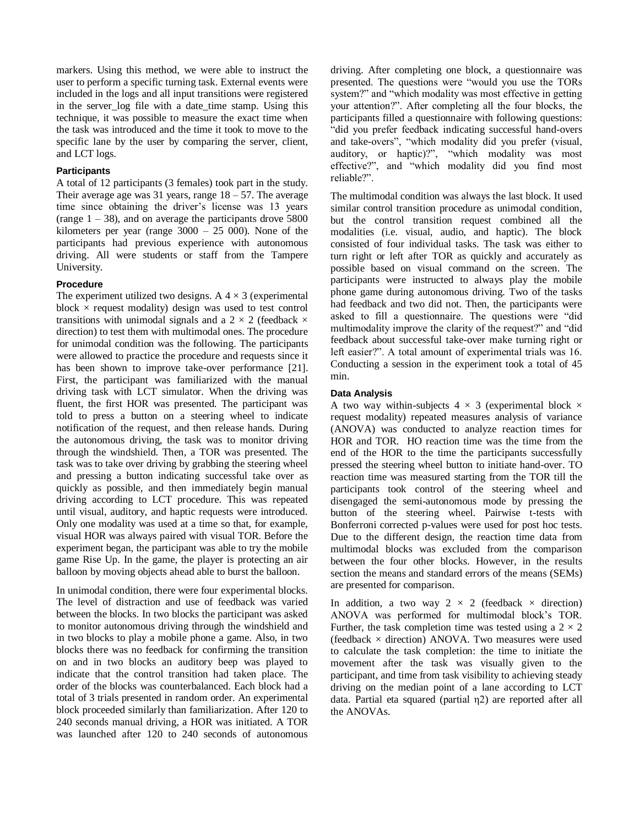markers. Using this method, we were able to instruct the user to perform a specific turning task. External events were included in the logs and all input transitions were registered in the server log file with a date time stamp. Using this technique, it was possible to measure the exact time when the task was introduced and the time it took to move to the specific lane by the user by comparing the server, client, and LCT logs.

## **Participants**

A total of 12 participants (3 females) took part in the study. Their average age was 31 years, range  $18 - 57$ . The average time since obtaining the driver's license was 13 years (range  $1 - 38$ ), and on average the participants drove 5800 kilometers per year (range  $3000 - 25000$ ). None of the participants had previous experience with autonomous driving. All were students or staff from the Tampere University.

## **Procedure**

The experiment utilized two designs. A  $4 \times 3$  (experimental block  $\times$  request modality) design was used to test control transitions with unimodal signals and a  $2 \times 2$  (feedback  $\times$ direction) to test them with multimodal ones. The procedure for unimodal condition was the following. The participants were allowed to practice the procedure and requests since it has been shown to improve take-over performance [21]. First, the participant was familiarized with the manual driving task with LCT simulator. When the driving was fluent, the first HOR was presented. The participant was told to press a button on a steering wheel to indicate notification of the request, and then release hands. During the autonomous driving, the task was to monitor driving through the windshield. Then, a TOR was presented. The task was to take over driving by grabbing the steering wheel and pressing a button indicating successful take over as quickly as possible, and then immediately begin manual driving according to LCT procedure. This was repeated until visual, auditory, and haptic requests were introduced. Only one modality was used at a time so that, for example, visual HOR was always paired with visual TOR. Before the experiment began, the participant was able to try the mobile game Rise Up. In the game, the player is protecting an air balloon by moving objects ahead able to burst the balloon.

In unimodal condition, there were four experimental blocks. The level of distraction and use of feedback was varied between the blocks. In two blocks the participant was asked to monitor autonomous driving through the windshield and in two blocks to play a mobile phone a game. Also, in two blocks there was no feedback for confirming the transition on and in two blocks an auditory beep was played to indicate that the control transition had taken place. The order of the blocks was counterbalanced. Each block had a total of 3 trials presented in random order. An experimental block proceeded similarly than familiarization. After 120 to 240 seconds manual driving, a HOR was initiated. A TOR was launched after 120 to 240 seconds of autonomous

driving. After completing one block, a questionnaire was presented. The questions were "would you use the TORs system?" and "which modality was most effective in getting your attention?". After completing all the four blocks, the participants filled a questionnaire with following questions: "did you prefer feedback indicating successful hand-overs and take-overs", "which modality did you prefer (visual, auditory, or haptic)?", "which modality was most effective?", and "which modality did you find most reliable?".

The multimodal condition was always the last block. It used similar control transition procedure as unimodal condition, but the control transition request combined all the modalities (i.e. visual, audio, and haptic). The block consisted of four individual tasks. The task was either to turn right or left after TOR as quickly and accurately as possible based on visual command on the screen. The participants were instructed to always play the mobile phone game during autonomous driving. Two of the tasks had feedback and two did not. Then, the participants were asked to fill a questionnaire. The questions were "did multimodality improve the clarity of the request?" and "did feedback about successful take-over make turning right or left easier?". A total amount of experimental trials was 16. Conducting a session in the experiment took a total of 45 min.

## **Data Analysis**

A two way within-subjects  $4 \times 3$  (experimental block  $\times$ request modality) repeated measures analysis of variance (ANOVA) was conducted to analyze reaction times for HOR and TOR. HO reaction time was the time from the end of the HOR to the time the participants successfully pressed the steering wheel button to initiate hand-over. TO reaction time was measured starting from the TOR till the participants took control of the steering wheel and disengaged the semi-autonomous mode by pressing the button of the steering wheel. Pairwise t-tests with Bonferroni corrected p-values were used for post hoc tests. Due to the different design, the reaction time data from multimodal blocks was excluded from the comparison between the four other blocks. However, in the results section the means and standard errors of the means (SEMs) are presented for comparison.

In addition, a two way  $2 \times 2$  (feedback  $\times$  direction) ANOVA was performed for multimodal block's TOR. Further, the task completion time was tested using a  $2 \times 2$ (feedback  $\times$  direction) ANOVA. Two measures were used to calculate the task completion: the time to initiate the movement after the task was visually given to the participant, and time from task visibility to achieving steady driving on the median point of a lane according to LCT data. Partial eta squared (partial η2) are reported after all the ANOVAs.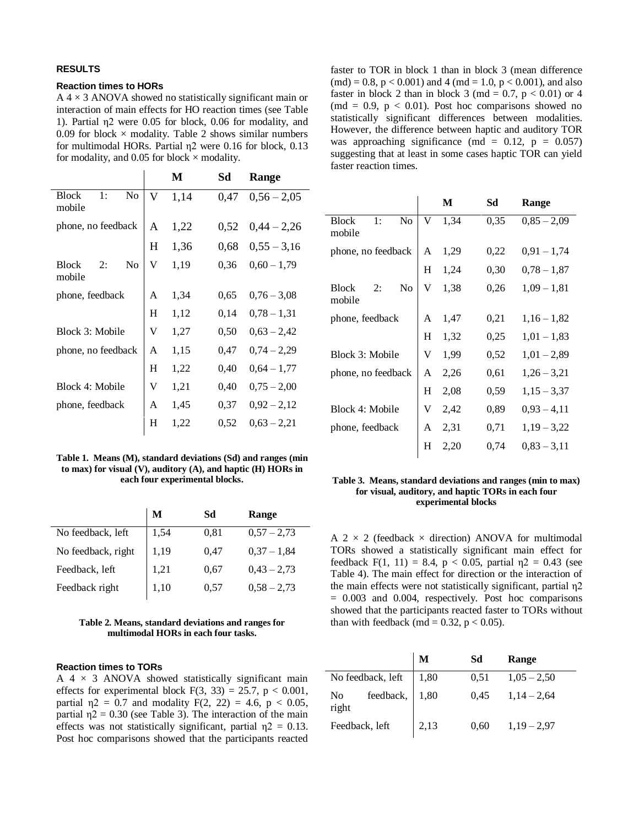## **RESULTS**

# **Reaction times to HORs**

 $A$  4  $\times$  3 ANOVA showed no statistically significant main or interaction of main effects for HO reaction times (see Table 1). Partial η2 were 0.05 for block, 0.06 for modality, and 0.09 for block  $\times$  modality. Table 2 shows similar numbers for multimodal HORs. Partial η2 were 0.16 for block, 0.13 for modality, and 0.05 for block  $\times$  modality.

|                                         |           | М    | Sd   | Range         |
|-----------------------------------------|-----------|------|------|---------------|
| 1:<br>No<br><b>Block</b><br>mobile      | V         | 1,14 | 0,47 | $0,56 - 2,05$ |
| phone, no feedback                      | A         | 1,22 | 0,52 | $0,44 - 2,26$ |
|                                         | $H_{\rm}$ | 1,36 | 0,68 | $0,55 - 3,16$ |
| N <sub>0</sub><br>2:<br>Block<br>mobile | V         | 1,19 | 0,36 | $0,60 - 1,79$ |
| phone, feedback                         | A         | 1,34 | 0,65 | $0.76 - 3.08$ |
|                                         | H         | 1,12 | 0,14 | $0,78 - 1,31$ |
| Block 3: Mobile                         | V         | 1,27 | 0,50 | $0,63 - 2,42$ |
| phone, no feedback                      | A         | 1,15 | 0,47 | $0,74 - 2,29$ |
|                                         | H         | 1,22 | 0,40 | $0,64 - 1,77$ |
| Block 4: Mobile                         | V         | 1,21 | 0,40 | $0,75 - 2,00$ |
| phone, feedback                         | A         | 1,45 | 0,37 | $0.92 - 2.12$ |
|                                         | Н         | 1,22 | 0,52 | $0,63 - 2,21$ |
|                                         |           |      |      |               |

## **Table 1. Means (M), standard deviations (Sd) and ranges (min to max) for visual (V), auditory (A), and haptic (H) HORs in each four experimental blocks.**

|                    | M    | Sd   | Range         |
|--------------------|------|------|---------------|
| No feedback, left  | 1,54 | 0.81 | $0.57 - 2.73$ |
| No feedback, right | 1,19 | 0,47 | $0.37 - 1.84$ |
| Feedback, left     | 1,21 | 0.67 | $0,43 - 2,73$ |
| Feedback right     | 1,10 | 0.57 | $0.58 - 2.73$ |

#### **Table 2. Means, standard deviations and ranges for multimodal HORs in each four tasks.**

## **Reaction times to TORs**

A  $4 \times 3$  ANOVA showed statistically significant main effects for experimental block  $F(3, 33) = 25.7$ ,  $p < 0.001$ , partial  $\eta$ 2 = 0.7 and modality F(2, 22) = 4.6, p < 0.05, partial  $\eta$ 2 = 0.30 (see Table 3). The interaction of the main effects was not statistically significant, partial  $\eta$ 2 = 0.13. Post hoc comparisons showed that the participants reacted faster to TOR in block 1 than in block 3 (mean difference  $(md) = 0.8$ ,  $p < 0.001$ ) and 4 (md = 1.0,  $p < 0.001$ ), and also faster in block 2 than in block 3 (md = 0.7,  $p < 0.01$ ) or 4 (md = 0.9,  $p < 0.01$ ). Post hoc comparisons showed no statistically significant differences between modalities. However, the difference between haptic and auditory TOR was approaching significance (md =  $0.12$ , p =  $0.057$ ) suggesting that at least in some cases haptic TOR can yield faster reaction times.

|                                         |   | M    | Sd   | Range         |
|-----------------------------------------|---|------|------|---------------|
| N <sub>0</sub><br>1:<br>Block<br>mobile | V | 1,34 | 0,35 | $0,85 - 2,09$ |
| phone, no feedback                      | A | 1,29 | 0,22 | $0,91 - 1,74$ |
|                                         | Η | 1,24 | 0,30 | $0,78 - 1,87$ |
| No<br>Block<br>2:<br>mobile             | V | 1,38 | 0,26 | $1,09 - 1,81$ |
| phone, feedback                         | A | 1,47 | 0,21 | $1,16 - 1,82$ |
|                                         | Η | 1,32 | 0,25 | $1,01 - 1,83$ |
| <b>Block 3: Mobile</b>                  | V | 1,99 | 0,52 | $1,01 - 2,89$ |
| phone, no feedback                      | A | 2,26 | 0,61 | $1,26 - 3,21$ |
|                                         | Η | 2,08 | 0,59 | $1,15 - 3,37$ |
| Block 4: Mobile                         | V | 2,42 | 0,89 | $0,93 - 4,11$ |
| phone, feedback                         | A | 2,31 | 0,71 | $1,19-3,22$   |
|                                         | Η | 2,20 | 0,74 | $0,83 - 3,11$ |
|                                         |   |      |      |               |

## **Table 3. Means, standard deviations and ranges (min to max) for visual, auditory, and haptic TORs in each four experimental blocks**

A 2  $\times$  2 (feedback  $\times$  direction) ANOVA for multimodal TORs showed a statistically significant main effect for feedback F(1, 11) = 8.4, p < 0.05, partial  $\eta$ 2 = 0.43 (see Table 4). The main effect for direction or the interaction of the main effects were not statistically significant, partial η2 = 0.003 and 0.004, respectively. Post hoc comparisons showed that the participants reacted faster to TORs without than with feedback (md =  $0.32$ , p <  $0.05$ ).

|                |                                                                | M                  | Sd   | Range         |
|----------------|----------------------------------------------------------------|--------------------|------|---------------|
|                |                                                                |                    | 0,51 | $1,05 - 2,50$ |
| No<br>right    | No feedback, left $\begin{vmatrix} 1,80 \\ 1,80 \end{vmatrix}$ |                    | 0,45 | $1,14-2,64$   |
| Feedback, left |                                                                | $\vert 2,13 \vert$ | 0,60 | $1,19-2,97$   |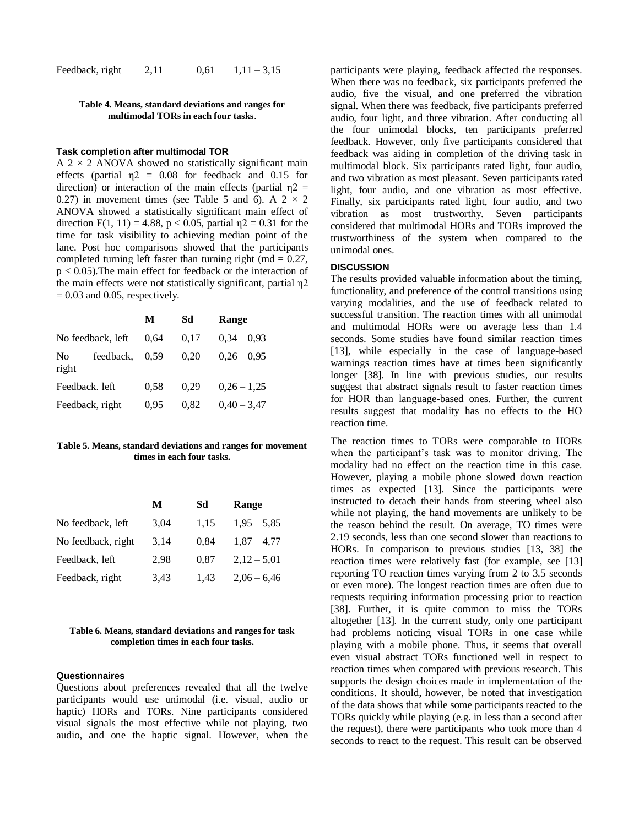| Feedback, right | 2,11 | 0,61 | $1,11-3,15$ |
|-----------------|------|------|-------------|
|-----------------|------|------|-------------|

#### **Table 4. Means, standard deviations and ranges for multimodal TORs in each four tasks**.

#### **Task completion after multimodal TOR**

 $A$  2  $\times$  2 ANOVA showed no statistically significant main effects (partial  $\eta$ 2 = 0.08 for feedback and 0.15 for direction) or interaction of the main effects (partial  $\eta$ 2 = 0.27) in movement times (see Table 5 and 6). A  $2 \times 2$ ANOVA showed a statistically significant main effect of direction F(1, 11) = 4.88, p < 0.05, partial  $n^2 = 0.31$  for the time for task visibility to achieving median point of the lane. Post hoc comparisons showed that the participants completed turning left faster than turning right ( $md = 0.27$ , p < 0.05).The main effect for feedback or the interaction of the main effects were not statistically significant, partial η2  $= 0.03$  and 0.05, respectively.

|                          | М    | Sd   | Range         |
|--------------------------|------|------|---------------|
| No feedback, left        | 0,64 | 0,17 | $0,34-0,93$   |
| feedback,<br>No<br>right | 0,59 | 0,20 | $0,26 - 0,95$ |
| Feedback. left           | 0,58 | 0,29 | $0,26-1,25$   |
| Feedback, right          | 0,95 | 0,82 | $0,40 - 3,47$ |
|                          |      |      |               |

**Table 5. Means, standard deviations and ranges for movement times in each four tasks.**

|                    | M    | Sd   | Range         |
|--------------------|------|------|---------------|
| No feedback, left  | 3,04 | 1,15 | $1,95 - 5,85$ |
| No feedback, right | 3,14 | 0.84 | $1,87 - 4,77$ |
| Feedback, left     | 2,98 | 0.87 | $2,12-5,01$   |
| Feedback, right    | 3,43 | 1,43 | $2,06 - 6,46$ |

#### **Table 6. Means, standard deviations and ranges for task completion times in each four tasks.**

#### **Questionnaires**

Questions about preferences revealed that all the twelve participants would use unimodal (i.e. visual, audio or haptic) HORs and TORs. Nine participants considered visual signals the most effective while not playing, two audio, and one the haptic signal. However, when the

participants were playing, feedback affected the responses. When there was no feedback, six participants preferred the audio, five the visual, and one preferred the vibration signal. When there was feedback, five participants preferred audio, four light, and three vibration. After conducting all the four unimodal blocks, ten participants preferred feedback. However, only five participants considered that feedback was aiding in completion of the driving task in multimodal block. Six participants rated light, four audio, and two vibration as most pleasant. Seven participants rated light, four audio, and one vibration as most effective. Finally, six participants rated light, four audio, and two vibration as most trustworthy. Seven participants considered that multimodal HORs and TORs improved the trustworthiness of the system when compared to the unimodal ones.

#### **DISCUSSION**

The results provided valuable information about the timing, functionality, and preference of the control transitions using varying modalities, and the use of feedback related to successful transition. The reaction times with all unimodal and multimodal HORs were on average less than 1.4 seconds. Some studies have found similar reaction times [13], while especially in the case of language-based warnings reaction times have at times been significantly longer [38]. In line with previous studies, our results suggest that abstract signals result to faster reaction times for HOR than language-based ones. Further, the current results suggest that modality has no effects to the HO reaction time.

The reaction times to TORs were comparable to HORs when the participant's task was to monitor driving. The modality had no effect on the reaction time in this case. However, playing a mobile phone slowed down reaction times as expected [13]. Since the participants were instructed to detach their hands from steering wheel also while not playing, the hand movements are unlikely to be the reason behind the result. On average, TO times were 2.19 seconds, less than one second slower than reactions to HORs. In comparison to previous studies [13, 38] the reaction times were relatively fast (for example, see [13] reporting TO reaction times varying from 2 to 3.5 seconds or even more). The longest reaction times are often due to requests requiring information processing prior to reaction [38]. Further, it is quite common to miss the TORs altogether [13]. In the current study, only one participant had problems noticing visual TORs in one case while playing with a mobile phone. Thus, it seems that overall even visual abstract TORs functioned well in respect to reaction times when compared with previous research. This supports the design choices made in implementation of the conditions. It should, however, be noted that investigation of the data shows that while some participants reacted to the TORs quickly while playing (e.g. in less than a second after the request), there were participants who took more than 4 seconds to react to the request. This result can be observed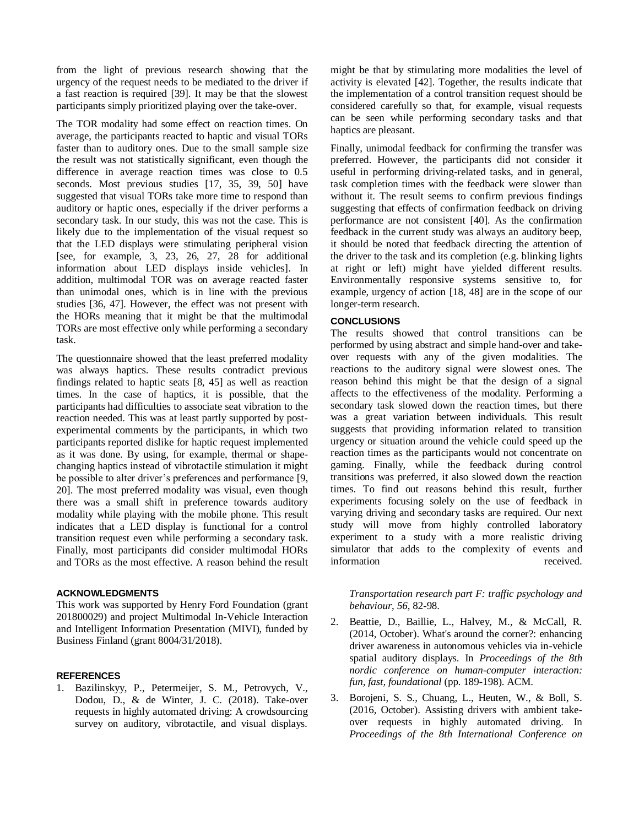from the light of previous research showing that the urgency of the request needs to be mediated to the driver if a fast reaction is required [39]. It may be that the slowest participants simply prioritized playing over the take-over.

The TOR modality had some effect on reaction times. On average, the participants reacted to haptic and visual TORs faster than to auditory ones. Due to the small sample size the result was not statistically significant, even though the difference in average reaction times was close to 0.5 seconds. Most previous studies [17, 35, 39, 50] have suggested that visual TORs take more time to respond than auditory or haptic ones, especially if the driver performs a secondary task. In our study, this was not the case. This is likely due to the implementation of the visual request so that the LED displays were stimulating peripheral vision [see, for example, 3, 23, 26, 27, 28 for additional information about LED displays inside vehicles]. In addition, multimodal TOR was on average reacted faster than unimodal ones, which is in line with the previous studies [36, 47]. However, the effect was not present with the HORs meaning that it might be that the multimodal TORs are most effective only while performing a secondary task.

The questionnaire showed that the least preferred modality was always haptics. These results contradict previous findings related to haptic seats [8, 45] as well as reaction times. In the case of haptics, it is possible, that the participants had difficulties to associate seat vibration to the reaction needed. This was at least partly supported by postexperimental comments by the participants, in which two participants reported dislike for haptic request implemented as it was done. By using, for example, thermal or shapechanging haptics instead of vibrotactile stimulation it might be possible to alter driver's preferences and performance [9, 20]. The most preferred modality was visual, even though there was a small shift in preference towards auditory modality while playing with the mobile phone. This result indicates that a LED display is functional for a control transition request even while performing a secondary task. Finally, most participants did consider multimodal HORs and TORs as the most effective. A reason behind the result

## **ACKNOWLEDGMENTS**

This work was supported by Henry Ford Foundation (grant 201800029) and project Multimodal In-Vehicle Interaction and Intelligent Information Presentation (MIVI), funded by Business Finland (grant 8004/31/2018).

# **REFERENCES**

1. Bazilinskyy, P., Petermeijer, S. M., Petrovych, V., Dodou, D., & de Winter, J. C. (2018). Take-over requests in highly automated driving: A crowdsourcing survey on auditory, vibrotactile, and visual displays.

might be that by stimulating more modalities the level of activity is elevated [42]. Together, the results indicate that the implementation of a control transition request should be considered carefully so that, for example, visual requests can be seen while performing secondary tasks and that haptics are pleasant.

Finally, unimodal feedback for confirming the transfer was preferred. However, the participants did not consider it useful in performing driving-related tasks, and in general, task completion times with the feedback were slower than without it. The result seems to confirm previous findings suggesting that effects of confirmation feedback on driving performance are not consistent [40]. As the confirmation feedback in the current study was always an auditory beep, it should be noted that feedback directing the attention of the driver to the task and its completion (e.g. blinking lights at right or left) might have yielded different results. Environmentally responsive systems sensitive to, for example, urgency of action [18, 48] are in the scope of our longer-term research.

## **CONCLUSIONS**

The results showed that control transitions can be performed by using abstract and simple hand-over and takeover requests with any of the given modalities. The reactions to the auditory signal were slowest ones. The reason behind this might be that the design of a signal affects to the effectiveness of the modality. Performing a secondary task slowed down the reaction times, but there was a great variation between individuals. This result suggests that providing information related to transition urgency or situation around the vehicle could speed up the reaction times as the participants would not concentrate on gaming. Finally, while the feedback during control transitions was preferred, it also slowed down the reaction times. To find out reasons behind this result, further experiments focusing solely on the use of feedback in varying driving and secondary tasks are required. Our next study will move from highly controlled laboratory experiment to a study with a more realistic driving simulator that adds to the complexity of events and information received.

*Transportation research part F: traffic psychology and behaviour*, *56*, 82-98.

- 2. Beattie, D., Baillie, L., Halvey, M., & McCall, R. (2014, October). What's around the corner?: enhancing driver awareness in autonomous vehicles via in-vehicle spatial auditory displays. In *Proceedings of the 8th nordic conference on human-computer interaction: fun, fast, foundational* (pp. 189-198). ACM.
- 3. Borojeni, S. S., Chuang, L., Heuten, W., & Boll, S. (2016, October). Assisting drivers with ambient takeover requests in highly automated driving. In *Proceedings of the 8th International Conference on*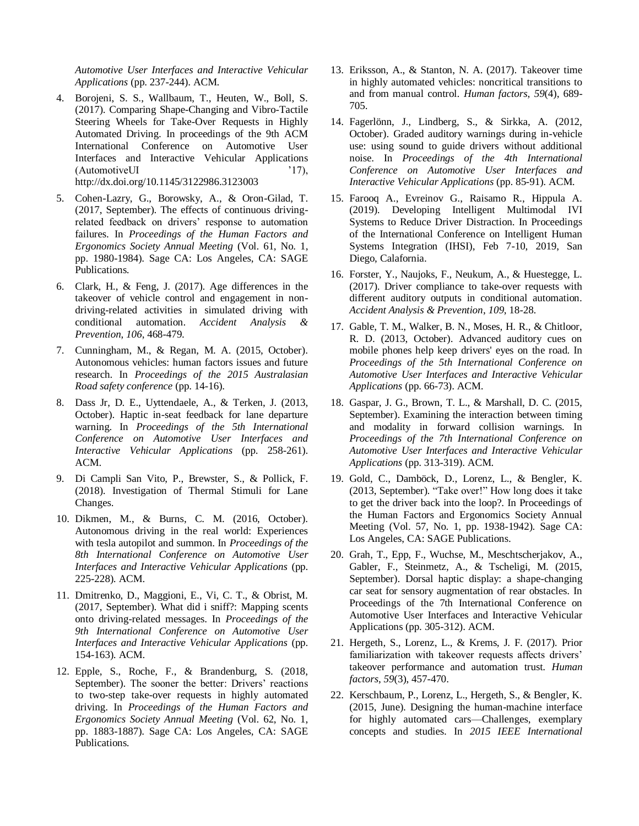*Automotive User Interfaces and Interactive Vehicular Applications* (pp. 237-244). ACM.

- 4. Borojeni, S. S., Wallbaum, T., Heuten, W., Boll, S. (2017). Comparing Shape-Changing and Vibro-Tactile Steering Wheels for Take-Over Requests in Highly Automated Driving. In proceedings of the 9th ACM International Conference on Automotive User Interfaces and Interactive Vehicular Applications (AutomotiveUI '17), http://dx.doi.org/10.1145/3122986.3123003
- 5. Cohen-Lazry, G., Borowsky, A., & Oron-Gilad, T. (2017, September). The effects of continuous drivingrelated feedback on drivers' response to automation failures. In *Proceedings of the Human Factors and Ergonomics Society Annual Meeting* (Vol. 61, No. 1, pp. 1980-1984). Sage CA: Los Angeles, CA: SAGE Publications.
- 6. Clark, H., & Feng, J. (2017). Age differences in the takeover of vehicle control and engagement in nondriving-related activities in simulated driving with conditional automation. *Accident Analysis & Prevention*, *106*, 468-479.
- 7. Cunningham, M., & Regan, M. A. (2015, October). Autonomous vehicles: human factors issues and future research. In *Proceedings of the 2015 Australasian Road safety conference* (pp. 14-16).
- 8. Dass Jr, D. E., Uyttendaele, A., & Terken, J. (2013, October). Haptic in-seat feedback for lane departure warning. In *Proceedings of the 5th International Conference on Automotive User Interfaces and Interactive Vehicular Applications* (pp. 258-261). ACM.
- 9. Di Campli San Vito, P., Brewster, S., & Pollick, F. (2018). Investigation of Thermal Stimuli for Lane Changes.
- 10. Dikmen, M., & Burns, C. M. (2016, October). Autonomous driving in the real world: Experiences with tesla autopilot and summon. In *Proceedings of the 8th International Conference on Automotive User Interfaces and Interactive Vehicular Applications* (pp. 225-228). ACM.
- 11. Dmitrenko, D., Maggioni, E., Vi, C. T., & Obrist, M. (2017, September). What did i sniff?: Mapping scents onto driving-related messages. In *Proceedings of the 9th International Conference on Automotive User Interfaces and Interactive Vehicular Applications* (pp. 154-163). ACM.
- 12. Epple, S., Roche, F., & Brandenburg, S. (2018, September). The sooner the better: Drivers' reactions to two-step take-over requests in highly automated driving. In *Proceedings of the Human Factors and Ergonomics Society Annual Meeting* (Vol. 62, No. 1, pp. 1883-1887). Sage CA: Los Angeles, CA: SAGE Publications.
- 13. Eriksson, A., & Stanton, N. A. (2017). Takeover time in highly automated vehicles: noncritical transitions to and from manual control. *Human factors*, *59*(4), 689- 705.
- 14. Fagerlönn, J., Lindberg, S., & Sirkka, A. (2012, October). Graded auditory warnings during in-vehicle use: using sound to guide drivers without additional noise. In *Proceedings of the 4th International Conference on Automotive User Interfaces and Interactive Vehicular Applications* (pp. 85-91). ACM.
- 15. Farooq A., Evreinov G., Raisamo R., Hippula A. (2019). Developing Intelligent Multimodal IVI Systems to Reduce Driver Distraction. In Proceedings of the International Conference on Intelligent Human Systems Integration (IHSI), Feb 7-10, 2019, San Diego, Calafornia.
- 16. Forster, Y., Naujoks, F., Neukum, A., & Huestegge, L. (2017). Driver compliance to take-over requests with different auditory outputs in conditional automation. *Accident Analysis & Prevention*, *109*, 18-28.
- 17. Gable, T. M., Walker, B. N., Moses, H. R., & Chitloor, R. D. (2013, October). Advanced auditory cues on mobile phones help keep drivers' eyes on the road. In *Proceedings of the 5th International Conference on Automotive User Interfaces and Interactive Vehicular Applications* (pp. 66-73). ACM.
- 18. Gaspar, J. G., Brown, T. L., & Marshall, D. C. (2015, September). Examining the interaction between timing and modality in forward collision warnings. In *Proceedings of the 7th International Conference on Automotive User Interfaces and Interactive Vehicular Applications* (pp. 313-319). ACM.
- 19. Gold, C., Damböck, D., Lorenz, L., & Bengler, K. (2013, September). "Take over!" How long does it take to get the driver back into the loop?. In Proceedings of the Human Factors and Ergonomics Society Annual Meeting (Vol. 57, No. 1, pp. 1938-1942). Sage CA: Los Angeles, CA: SAGE Publications.
- 20. Grah, T., Epp, F., Wuchse, M., Meschtscherjakov, A., Gabler, F., Steinmetz, A., & Tscheligi, M. (2015, September). Dorsal haptic display: a shape-changing car seat for sensory augmentation of rear obstacles. In Proceedings of the 7th International Conference on Automotive User Interfaces and Interactive Vehicular Applications (pp. 305-312). ACM.
- 21. Hergeth, S., Lorenz, L., & Krems, J. F. (2017). Prior familiarization with takeover requests affects drivers' takeover performance and automation trust. *Human factors*, *59*(3), 457-470.
- 22. Kerschbaum, P., Lorenz, L., Hergeth, S., & Bengler, K. (2015, June). Designing the human-machine interface for highly automated cars—Challenges, exemplary concepts and studies. In *2015 IEEE International*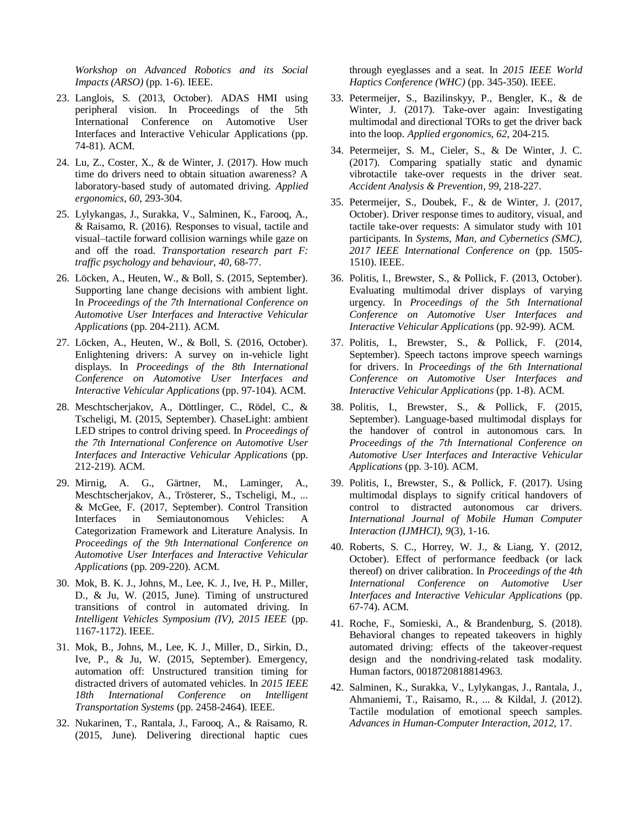*Workshop on Advanced Robotics and its Social Impacts (ARSO)* (pp. 1-6). IEEE.

- 23. Langlois, S. (2013, October). ADAS HMI using peripheral vision. In Proceedings of the 5th International Conference on Automotive User Interfaces and Interactive Vehicular Applications (pp. 74-81). ACM.
- 24. Lu, Z., Coster, X., & de Winter, J. (2017). How much time do drivers need to obtain situation awareness? A laboratory-based study of automated driving. *Applied ergonomics*, *60*, 293-304.
- 25. Lylykangas, J., Surakka, V., Salminen, K., Farooq, A., & Raisamo, R. (2016). Responses to visual, tactile and visual–tactile forward collision warnings while gaze on and off the road. *Transportation research part F: traffic psychology and behaviour*, *40*, 68-77.
- 26. Löcken, A., Heuten, W., & Boll, S. (2015, September). Supporting lane change decisions with ambient light. In *Proceedings of the 7th International Conference on Automotive User Interfaces and Interactive Vehicular Applications* (pp. 204-211). ACM.
- 27. Löcken, A., Heuten, W., & Boll, S. (2016, October). Enlightening drivers: A survey on in-vehicle light displays. In *Proceedings of the 8th International Conference on Automotive User Interfaces and Interactive Vehicular Applications* (pp. 97-104). ACM.
- 28. Meschtscherjakov, A., Döttlinger, C., Rödel, C., & Tscheligi, M. (2015, September). ChaseLight: ambient LED stripes to control driving speed. In *Proceedings of the 7th International Conference on Automotive User Interfaces and Interactive Vehicular Applications* (pp. 212-219). ACM.
- 29. Mirnig, A. G., Gärtner, M., Laminger, A., Meschtscherjakov, A., Trösterer, S., Tscheligi, M., ... & McGee, F. (2017, September). Control Transition Interfaces in Semiautonomous Vehicles: A Categorization Framework and Literature Analysis. In *Proceedings of the 9th International Conference on Automotive User Interfaces and Interactive Vehicular Applications* (pp. 209-220). ACM.
- 30. Mok, B. K. J., Johns, M., Lee, K. J., Ive, H. P., Miller, D., & Ju, W. (2015, June). Timing of unstructured transitions of control in automated driving. In *Intelligent Vehicles Symposium (IV), 2015 IEEE* (pp. 1167-1172). IEEE.
- 31. Mok, B., Johns, M., Lee, K. J., Miller, D., Sirkin, D., Ive, P., & Ju, W. (2015, September). Emergency, automation off: Unstructured transition timing for distracted drivers of automated vehicles. In *2015 IEEE 18th International Conference on Intelligent Transportation Systems* (pp. 2458-2464). IEEE.
- 32. Nukarinen, T., Rantala, J., Farooq, A., & Raisamo, R. (2015, June). Delivering directional haptic cues

through eyeglasses and a seat. In *2015 IEEE World Haptics Conference (WHC)* (pp. 345-350). IEEE.

- 33. Petermeijer, S., Bazilinskyy, P., Bengler, K., & de Winter, J. (2017). Take-over again: Investigating multimodal and directional TORs to get the driver back into the loop. *Applied ergonomics*, *62*, 204-215.
- 34. Petermeijer, S. M., Cieler, S., & De Winter, J. C. (2017). Comparing spatially static and dynamic vibrotactile take-over requests in the driver seat. *Accident Analysis & Prevention*, *99*, 218-227.
- 35. Petermeijer, S., Doubek, F., & de Winter, J. (2017, October). Driver response times to auditory, visual, and tactile take-over requests: A simulator study with 101 participants. In *Systems, Man, and Cybernetics (SMC), 2017 IEEE International Conference on* (pp. 1505- 1510). IEEE.
- 36. Politis, I., Brewster, S., & Pollick, F. (2013, October). Evaluating multimodal driver displays of varying urgency. In *Proceedings of the 5th International Conference on Automotive User Interfaces and Interactive Vehicular Applications* (pp. 92-99). ACM.
- 37. Politis, I., Brewster, S., & Pollick, F. (2014, September). Speech tactons improve speech warnings for drivers. In *Proceedings of the 6th International Conference on Automotive User Interfaces and Interactive Vehicular Applications* (pp. 1-8). ACM.
- 38. Politis, I., Brewster, S., & Pollick, F. (2015, September). Language-based multimodal displays for the handover of control in autonomous cars. In *Proceedings of the 7th International Conference on Automotive User Interfaces and Interactive Vehicular Applications* (pp. 3-10). ACM.
- 39. Politis, I., Brewster, S., & Pollick, F. (2017). Using multimodal displays to signify critical handovers of control to distracted autonomous car drivers. *International Journal of Mobile Human Computer Interaction (IJMHCI)*, *9*(3), 1-16.
- 40. Roberts, S. C., Horrey, W. J., & Liang, Y. (2012, October). Effect of performance feedback (or lack thereof) on driver calibration. In *Proceedings of the 4th International Conference on Automotive User Interfaces and Interactive Vehicular Applications* (pp. 67-74). ACM.
- 41. Roche, F., Somieski, A., & Brandenburg, S. (2018). Behavioral changes to repeated takeovers in highly automated driving: effects of the takeover-request design and the nondriving-related task modality. Human factors, 0018720818814963.
- 42. Salminen, K., Surakka, V., Lylykangas, J., Rantala, J., Ahmaniemi, T., Raisamo, R., ... & Kildal, J. (2012). Tactile modulation of emotional speech samples. *Advances in Human-Computer Interaction*, *2012*, 17.